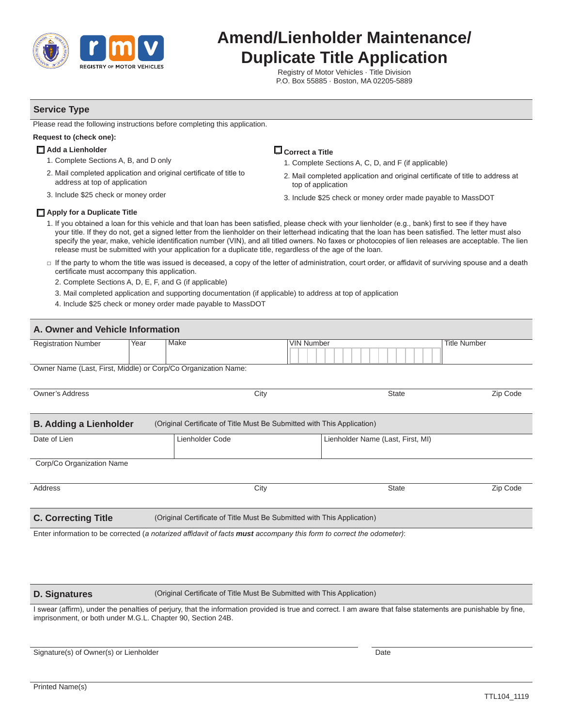

# **Amend/Lienholder Maintenance/ Duplicate Title Application**

Registry of Motor Vehicles · Title Division P.O. Box 55885 · Boston, MA 02205-5889

## **Service Type**

Please read the following instructions before completing this application.

### **Request to (check one):**

- **□ Add a Lienholder**
	- 1. Complete Sections A, B, and D only
	- 2. Mail completed application and original certificate of title to address at top of application
	- 3. Include \$25 check or money order

## **□ Correct a Title** 1. Complete Sections A, C, D, and F (if applicable)

- 2. Mail completed application and original certificate of title to address at top of application
- 3. Include \$25 check or money order made payable to MassDOT

#### **□ Apply for a Duplicate Title**

- 1. If you obtained a loan for this vehicle and that loan has been satisfied, please check with your lienholder (e.g., bank) first to see if they have your title. If they do not, get a signed letter from the lienholder on their letterhead indicating that the loan has been satisfied. The letter must also specify the year, make, vehicle identification number (VIN), and all titled owners. No faxes or photocopies of lien releases are acceptable. The lien release must be submitted with your application for a duplicate title, regardless of the age of the loan.
- □ If the party to whom the title was issued is deceased, a copy of the letter of administration, court order, or affidavit of surviving spouse and a death certificate must accompany this application.
	- 2. Complete Sections A, D, E, F, and G (if applicable)
	- 3. Mail completed application and supporting documentation (if applicable) to address at top of application
	- 4. Include \$25 check or money order made payable to MassDOT

| A. Owner and Vehicle Information                               |      |                                                                         |                                   |                     |  |  |  |  |
|----------------------------------------------------------------|------|-------------------------------------------------------------------------|-----------------------------------|---------------------|--|--|--|--|
| <b>Registration Number</b>                                     | Year | Make<br><b>VIN Number</b>                                               |                                   | <b>Title Number</b> |  |  |  |  |
| Owner Name (Last, First, Middle) or Corp/Co Organization Name: |      |                                                                         |                                   |                     |  |  |  |  |
| <b>Owner's Address</b>                                         |      | City                                                                    | <b>State</b>                      | Zip Code            |  |  |  |  |
| <b>B. Adding a Lienholder</b>                                  |      | (Original Certificate of Title Must Be Submitted with This Application) |                                   |                     |  |  |  |  |
| Date of Lien                                                   |      | Lienholder Code                                                         | Lienholder Name (Last, First, MI) |                     |  |  |  |  |
| Corp/Co Organization Name                                      |      |                                                                         |                                   |                     |  |  |  |  |
| Address                                                        |      | City                                                                    | <b>State</b>                      | Zip Code            |  |  |  |  |
| <b>C. Correcting Title</b>                                     |      | (Original Certificate of Title Must Be Submitted with This Application) |                                   |                     |  |  |  |  |

Enter information to be corrected (*a notarized affidavit of facts must accompany this form to correct the odometer)*:

#### **D. Signatures**

(Original Certificate of Title Must Be Submitted with This Application)

I swear (affirm), under the penalties of perjury, that the information provided is true and correct. I am aware that false statements are punishable by fine, imprisonment, or both under M.G.L. Chapter 90, Section 24B.

Signature(s) of Owner(s) or Lienholder

**Date**